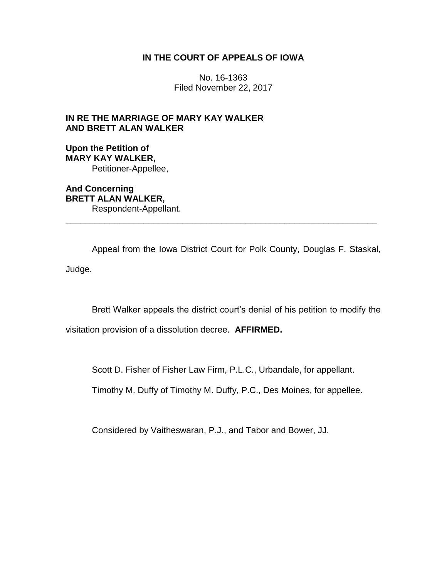## **IN THE COURT OF APPEALS OF IOWA**

No. 16-1363 Filed November 22, 2017

# **IN RE THE MARRIAGE OF MARY KAY WALKER AND BRETT ALAN WALKER**

**Upon the Petition of MARY KAY WALKER,** Petitioner-Appellee,

**And Concerning BRETT ALAN WALKER,** Respondent-Appellant.

Appeal from the Iowa District Court for Polk County, Douglas F. Staskal, Judge.

\_\_\_\_\_\_\_\_\_\_\_\_\_\_\_\_\_\_\_\_\_\_\_\_\_\_\_\_\_\_\_\_\_\_\_\_\_\_\_\_\_\_\_\_\_\_\_\_\_\_\_\_\_\_\_\_\_\_\_\_\_\_\_\_

Brett Walker appeals the district court's denial of his petition to modify the

visitation provision of a dissolution decree. **AFFIRMED.**

Scott D. Fisher of Fisher Law Firm, P.L.C., Urbandale, for appellant.

Timothy M. Duffy of Timothy M. Duffy, P.C., Des Moines, for appellee.

Considered by Vaitheswaran, P.J., and Tabor and Bower, JJ.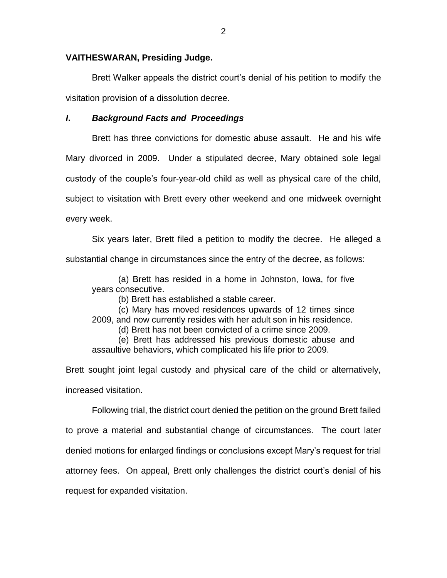### **VAITHESWARAN, Presiding Judge.**

Brett Walker appeals the district court's denial of his petition to modify the visitation provision of a dissolution decree.

## *I***.** *Background Facts and Proceedings*

Brett has three convictions for domestic abuse assault. He and his wife Mary divorced in 2009. Under a stipulated decree, Mary obtained sole legal custody of the couple's four-year-old child as well as physical care of the child, subject to visitation with Brett every other weekend and one midweek overnight every week.

Six years later, Brett filed a petition to modify the decree. He alleged a substantial change in circumstances since the entry of the decree, as follows:

(a) Brett has resided in a home in Johnston, Iowa, for five years consecutive.

(b) Brett has established a stable career.

(c) Mary has moved residences upwards of 12 times since

2009, and now currently resides with her adult son in his residence.

(d) Brett has not been convicted of a crime since 2009.

(e) Brett has addressed his previous domestic abuse and assaultive behaviors, which complicated his life prior to 2009.

Brett sought joint legal custody and physical care of the child or alternatively, increased visitation.

Following trial, the district court denied the petition on the ground Brett failed to prove a material and substantial change of circumstances. The court later denied motions for enlarged findings or conclusions except Mary's request for trial attorney fees. On appeal, Brett only challenges the district court's denial of his request for expanded visitation.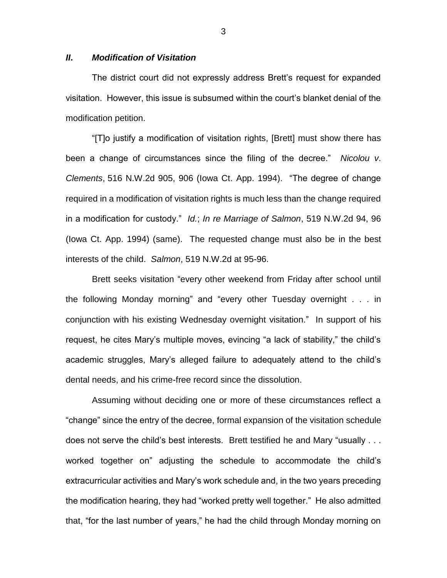#### *II***.** *Modification of Visitation*

The district court did not expressly address Brett's request for expanded visitation. However, this issue is subsumed within the court's blanket denial of the modification petition.

"[T]o justify a modification of visitation rights, [Brett] must show there has been a change of circumstances since the filing of the decree." *Nicolou v*. *Clements*, 516 N.W.2d 905, 906 (Iowa Ct. App. 1994). "The degree of change required in a modification of visitation rights is much less than the change required in a modification for custody." *Id.*; *In re Marriage of Salmon*, 519 N.W.2d 94, 96 (Iowa Ct. App. 1994) (same). The requested change must also be in the best interests of the child. *Salmon*, 519 N.W.2d at 95-96.

Brett seeks visitation "every other weekend from Friday after school until the following Monday morning" and "every other Tuesday overnight . . . in conjunction with his existing Wednesday overnight visitation." In support of his request, he cites Mary's multiple moves, evincing "a lack of stability," the child's academic struggles, Mary's alleged failure to adequately attend to the child's dental needs, and his crime-free record since the dissolution.

Assuming without deciding one or more of these circumstances reflect a "change" since the entry of the decree, formal expansion of the visitation schedule does not serve the child's best interests. Brett testified he and Mary "usually . . . worked together on" adjusting the schedule to accommodate the child's extracurricular activities and Mary's work schedule and, in the two years preceding the modification hearing, they had "worked pretty well together." He also admitted that, "for the last number of years," he had the child through Monday morning on

3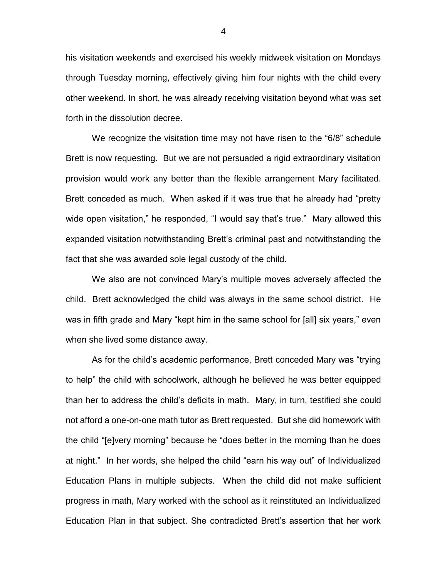his visitation weekends and exercised his weekly midweek visitation on Mondays through Tuesday morning, effectively giving him four nights with the child every other weekend. In short, he was already receiving visitation beyond what was set forth in the dissolution decree.

We recognize the visitation time may not have risen to the "6/8" schedule Brett is now requesting. But we are not persuaded a rigid extraordinary visitation provision would work any better than the flexible arrangement Mary facilitated. Brett conceded as much. When asked if it was true that he already had "pretty wide open visitation," he responded, "I would say that's true." Mary allowed this expanded visitation notwithstanding Brett's criminal past and notwithstanding the fact that she was awarded sole legal custody of the child.

We also are not convinced Mary's multiple moves adversely affected the child. Brett acknowledged the child was always in the same school district. He was in fifth grade and Mary "kept him in the same school for [all] six years," even when she lived some distance away.

As for the child's academic performance, Brett conceded Mary was "trying to help" the child with schoolwork, although he believed he was better equipped than her to address the child's deficits in math. Mary, in turn, testified she could not afford a one-on-one math tutor as Brett requested. But she did homework with the child "[e]very morning" because he "does better in the morning than he does at night." In her words, she helped the child "earn his way out" of Individualized Education Plans in multiple subjects. When the child did not make sufficient progress in math, Mary worked with the school as it reinstituted an Individualized Education Plan in that subject. She contradicted Brett's assertion that her work